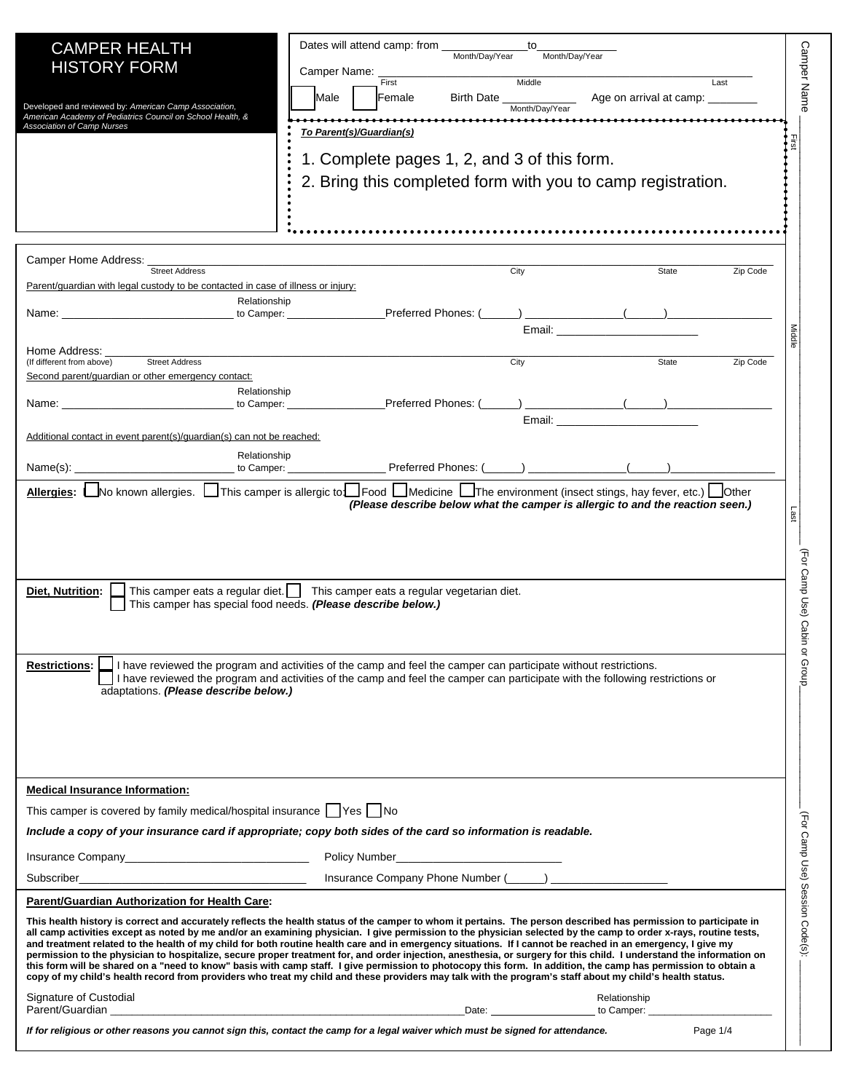| <b>CAMPER HEALTH</b><br><b>HISTORY FORM</b>                                                                                                                                                                                                                    | Dates will attend camp: from ________<br>to<br>Month/Day/Year<br>Month/Day/Year<br>Camper Name:                                                                                                                                                                                                                                                                                                                                                                                                                                                                                                                                                                                                                                                                                                                                                                                                                                                                                                            |                                          |                                 |  |  |
|----------------------------------------------------------------------------------------------------------------------------------------------------------------------------------------------------------------------------------------------------------------|------------------------------------------------------------------------------------------------------------------------------------------------------------------------------------------------------------------------------------------------------------------------------------------------------------------------------------------------------------------------------------------------------------------------------------------------------------------------------------------------------------------------------------------------------------------------------------------------------------------------------------------------------------------------------------------------------------------------------------------------------------------------------------------------------------------------------------------------------------------------------------------------------------------------------------------------------------------------------------------------------------|------------------------------------------|---------------------------------|--|--|
| Developed and reviewed by: American Camp Association,<br>American Academy of Pediatrics Council on School Health, &                                                                                                                                            | Middle<br>First<br><b>Male</b><br>Birth Date ____________<br>Female<br>Month/Day/Year                                                                                                                                                                                                                                                                                                                                                                                                                                                                                                                                                                                                                                                                                                                                                                                                                                                                                                                      | Last<br>Age on arrival at camp: ________ | Camper Name                     |  |  |
| <b>Association of Camp Nurses</b>                                                                                                                                                                                                                              | To Parent(s)/Guardian(s)<br>1. Complete pages 1, 2, and 3 of this form.<br>2. Bring this completed form with you to camp registration.                                                                                                                                                                                                                                                                                                                                                                                                                                                                                                                                                                                                                                                                                                                                                                                                                                                                     |                                          | <b>Hist</b>                     |  |  |
| Camper Home Address: _<br><b>Street Address</b>                                                                                                                                                                                                                | City                                                                                                                                                                                                                                                                                                                                                                                                                                                                                                                                                                                                                                                                                                                                                                                                                                                                                                                                                                                                       | State<br>Zip Code                        |                                 |  |  |
| Parent/guardian with legal custody to be contacted in case of illness or injury:<br>Relationship                                                                                                                                                               |                                                                                                                                                                                                                                                                                                                                                                                                                                                                                                                                                                                                                                                                                                                                                                                                                                                                                                                                                                                                            |                                          |                                 |  |  |
| Name: Name and the state of the state of the state of the state of the state of the state of the state of the state of the state of the state of the state of the state of the state of the state of the state of the state of                                 | Preferred Phones: (______) __________________(__                                                                                                                                                                                                                                                                                                                                                                                                                                                                                                                                                                                                                                                                                                                                                                                                                                                                                                                                                           |                                          |                                 |  |  |
| Home Address:                                                                                                                                                                                                                                                  |                                                                                                                                                                                                                                                                                                                                                                                                                                                                                                                                                                                                                                                                                                                                                                                                                                                                                                                                                                                                            |                                          | Middle                          |  |  |
| (If different from above)<br><b>Street Address</b>                                                                                                                                                                                                             | City                                                                                                                                                                                                                                                                                                                                                                                                                                                                                                                                                                                                                                                                                                                                                                                                                                                                                                                                                                                                       | State<br>Zip Code                        |                                 |  |  |
| Second parent/guardian or other emergency contact:<br>Relationship                                                                                                                                                                                             |                                                                                                                                                                                                                                                                                                                                                                                                                                                                                                                                                                                                                                                                                                                                                                                                                                                                                                                                                                                                            |                                          |                                 |  |  |
| Name: Name: Name: Name: Name: Name: Name: Name: Name: Name: Name: Name: Name: Name: Name: Name: Name: Name: Name: Name: Name: Name: Name: Name: Name: Name: Name: Name: Name: Name: Name: Name: Name: Name: Name: Name: Name:                                  |                                                                                                                                                                                                                                                                                                                                                                                                                                                                                                                                                                                                                                                                                                                                                                                                                                                                                                                                                                                                            |                                          |                                 |  |  |
| Additional contact in event parent(s)/guardian(s) can not be reached:                                                                                                                                                                                          |                                                                                                                                                                                                                                                                                                                                                                                                                                                                                                                                                                                                                                                                                                                                                                                                                                                                                                                                                                                                            |                                          |                                 |  |  |
| Relationship<br>Name(s): $\overline{\phantom{a}}$<br>to Camper:                                                                                                                                                                                                | Preferred Phones: ( _____) ______________                                                                                                                                                                                                                                                                                                                                                                                                                                                                                                                                                                                                                                                                                                                                                                                                                                                                                                                                                                  |                                          |                                 |  |  |
| Allergies: [                                                                                                                                                                                                                                                   | No known allergies. $\Box$ This camper is allergic to $\Box$ Food $\Box$ Medicine $\Box$ The environment (insect stings, hay fever, etc.) $\Box$ Other                                                                                                                                                                                                                                                                                                                                                                                                                                                                                                                                                                                                                                                                                                                                                                                                                                                     |                                          |                                 |  |  |
| Diet, Nutrition:                                                                                                                                                                                                                                               | This camper eats a regular diet.   This camper eats a regular vegetarian diet.<br>This camper has special food needs. (Please describe below.)                                                                                                                                                                                                                                                                                                                                                                                                                                                                                                                                                                                                                                                                                                                                                                                                                                                             |                                          | Last<br>(For Camp Use) Cabin    |  |  |
| <b>Restrictions:</b><br>adaptations. (Please describe below.)                                                                                                                                                                                                  | I have reviewed the program and activities of the camp and feel the camper can participate without restrictions.<br>I have reviewed the program and activities of the camp and feel the camper can participate with the following restrictions or                                                                                                                                                                                                                                                                                                                                                                                                                                                                                                                                                                                                                                                                                                                                                          |                                          | or Group                        |  |  |
| <b>Medical Insurance Information:</b>                                                                                                                                                                                                                          |                                                                                                                                                                                                                                                                                                                                                                                                                                                                                                                                                                                                                                                                                                                                                                                                                                                                                                                                                                                                            |                                          |                                 |  |  |
| This camper is covered by family medical/hospital insurance $\Box$ Yes $\Box$ No                                                                                                                                                                               |                                                                                                                                                                                                                                                                                                                                                                                                                                                                                                                                                                                                                                                                                                                                                                                                                                                                                                                                                                                                            |                                          |                                 |  |  |
|                                                                                                                                                                                                                                                                | Include a copy of your insurance card if appropriate; copy both sides of the card so information is readable.                                                                                                                                                                                                                                                                                                                                                                                                                                                                                                                                                                                                                                                                                                                                                                                                                                                                                              |                                          |                                 |  |  |
|                                                                                                                                                                                                                                                                |                                                                                                                                                                                                                                                                                                                                                                                                                                                                                                                                                                                                                                                                                                                                                                                                                                                                                                                                                                                                            |                                          |                                 |  |  |
|                                                                                                                                                                                                                                                                | Insurance Company Phone Number (______) ____________                                                                                                                                                                                                                                                                                                                                                                                                                                                                                                                                                                                                                                                                                                                                                                                                                                                                                                                                                       |                                          |                                 |  |  |
| Parent/Guardian Authorization for Health Care:                                                                                                                                                                                                                 | This health history is correct and accurately reflects the health status of the camper to whom it pertains. The person described has permission to participate in<br>all camp activities except as noted by me and/or an examining physician. I give permission to the physician selected by the camp to order x-rays, routine tests,<br>and treatment related to the health of my child for both routine health care and in emergency situations. If I cannot be reached in an emergency, I give my<br>permission to the physician to hospitalize, secure proper treatment for, and order injection, anesthesia, or surgery for this child. I understand the information on<br>this form will be shared on a "need to know" basis with camp staff. I give permission to photocopy this form. In addition, the camp has permission to obtain a<br>copy of my child's health record from providers who treat my child and these providers may talk with the program's staff about my child's health status. |                                          | (For Camp Use) Session Code(s): |  |  |
| Signature of Custodial<br>Parent/Guardian <b>Executive Service Service Service Service Service Service Service Service Service Service Service Service Service Service Service Service Service Service Service Service Service Service Service Service Ser</b> | Date: _______________________ to Camper: _____                                                                                                                                                                                                                                                                                                                                                                                                                                                                                                                                                                                                                                                                                                                                                                                                                                                                                                                                                             | Relationship                             |                                 |  |  |
|                                                                                                                                                                                                                                                                | If for religious or other reasons you cannot sign this, contact the camp for a legal waiver which must be signed for attendance.                                                                                                                                                                                                                                                                                                                                                                                                                                                                                                                                                                                                                                                                                                                                                                                                                                                                           | Page 1/4                                 |                                 |  |  |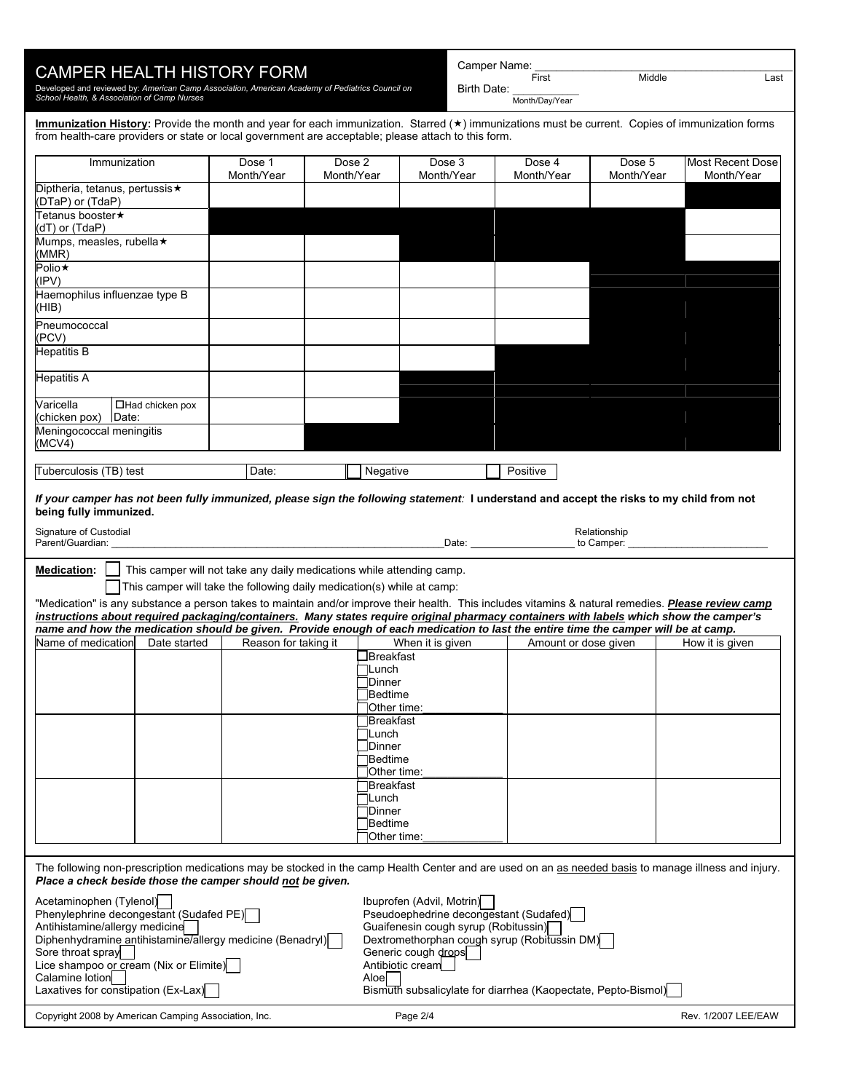## CAMPER HEALTH HISTORY FORM

Camper Name: \_\_\_\_\_\_\_\_\_\_\_\_\_\_\_\_\_\_\_\_\_\_\_\_\_\_\_\_\_\_\_\_\_\_\_\_\_\_\_\_\_\_\_\_\_\_\_\_

First **Middle Contact Middle Last** 

Developed and reviewed by: *American Camp Association, American Academy of Pediatrics Council on School Health, & Association of Camp Nurses* 

Birth Date: \_\_\_\_\_\_\_\_\_\_\_\_ Month/Day/Year

**Immunization History:** Provide the month and year for each immunization. Starred ( $\star$ ) immunizations must be current. Copies of immunization forms from health-care providers or state or local government are acceptable; please attach to this form.

| Immunization                                                                                                                                                                                                       | Dose 1<br>Month/Year                                                   | Dose 2<br>Month/Year  | Dose 3<br>Month/Year                   | Dose 4<br>Month/Year                                                                                                                                                                                                           | Dose 5<br>Month/Year       | <b>Most Recent Dose</b><br>Month/Year |
|--------------------------------------------------------------------------------------------------------------------------------------------------------------------------------------------------------------------|------------------------------------------------------------------------|-----------------------|----------------------------------------|--------------------------------------------------------------------------------------------------------------------------------------------------------------------------------------------------------------------------------|----------------------------|---------------------------------------|
| Diptheria, tetanus, pertussis★<br>(DTaP) or (TdaP)                                                                                                                                                                 |                                                                        |                       |                                        |                                                                                                                                                                                                                                |                            |                                       |
| Tetanus booster★                                                                                                                                                                                                   |                                                                        |                       |                                        |                                                                                                                                                                                                                                |                            |                                       |
| (dT) or (TdaP)                                                                                                                                                                                                     |                                                                        |                       |                                        |                                                                                                                                                                                                                                |                            |                                       |
| Mumps, measles, rubella *<br>(MMR)                                                                                                                                                                                 |                                                                        |                       |                                        |                                                                                                                                                                                                                                |                            |                                       |
| Polio★<br>(IPV)                                                                                                                                                                                                    |                                                                        |                       |                                        |                                                                                                                                                                                                                                |                            |                                       |
| Haemophilus influenzae type B<br>(HIB)                                                                                                                                                                             |                                                                        |                       |                                        |                                                                                                                                                                                                                                |                            |                                       |
| Pneumococcal<br>(PCV)                                                                                                                                                                                              |                                                                        |                       |                                        |                                                                                                                                                                                                                                |                            |                                       |
| <b>Hepatitis B</b>                                                                                                                                                                                                 |                                                                        |                       |                                        |                                                                                                                                                                                                                                |                            |                                       |
| <b>Hepatitis A</b>                                                                                                                                                                                                 |                                                                        |                       |                                        |                                                                                                                                                                                                                                |                            |                                       |
| Varicella<br>$\Box$ Had chicken pox<br>(chicken pox)<br>Date:                                                                                                                                                      |                                                                        |                       |                                        |                                                                                                                                                                                                                                |                            |                                       |
| Meningococcal meningitis<br>(MCV4)                                                                                                                                                                                 |                                                                        |                       |                                        |                                                                                                                                                                                                                                |                            |                                       |
| Tuberculosis (TB) test                                                                                                                                                                                             | Date:                                                                  | Negative              |                                        | Positive                                                                                                                                                                                                                       |                            |                                       |
|                                                                                                                                                                                                                    |                                                                        |                       |                                        |                                                                                                                                                                                                                                |                            |                                       |
| If your camper has not been fully immunized, please sign the following statement: I understand and accept the risks to my child from not<br>being fully immunized.                                                 |                                                                        |                       |                                        |                                                                                                                                                                                                                                |                            |                                       |
| Signature of Custodial<br>Parent/Guardian: _______                                                                                                                                                                 |                                                                        |                       |                                        | Date: the contract of the contract of the contract of the contract of the contract of the contract of the contract of the contract of the contract of the contract of the contract of the contract of the contract of the cont | Relationship<br>to Camper: |                                       |
| Medication:                                                                                                                                                                                                        | This camper will not take any daily medications while attending camp.  |                       |                                        |                                                                                                                                                                                                                                |                            |                                       |
|                                                                                                                                                                                                                    | This camper will take the following daily medication(s) while at camp: |                       |                                        |                                                                                                                                                                                                                                |                            |                                       |
| "Medication" is any substance a person takes to maintain and/or improve their health. This includes vitamins & natural remedies. Please review camp                                                                |                                                                        |                       |                                        |                                                                                                                                                                                                                                |                            |                                       |
| instructions about required packaging/containers. Many states require original pharmacy containers with labels which show the camper's                                                                             |                                                                        |                       |                                        |                                                                                                                                                                                                                                |                            |                                       |
| name and how the medication should be given. Provide enough of each medication to last the entire time the camper will be at camp.<br>Name of medication<br>Date started                                           | Reason for taking it                                                   |                       | When it is given                       | Amount or dose given                                                                                                                                                                                                           |                            | How it is given                       |
|                                                                                                                                                                                                                    |                                                                        | $\lrcorner$ Breakfast |                                        |                                                                                                                                                                                                                                |                            |                                       |
|                                                                                                                                                                                                                    |                                                                        | ∃Lunch                |                                        |                                                                                                                                                                                                                                |                            |                                       |
|                                                                                                                                                                                                                    |                                                                        | Dinner<br>Bedtime     |                                        |                                                                                                                                                                                                                                |                            |                                       |
|                                                                                                                                                                                                                    |                                                                        | Other time:           |                                        |                                                                                                                                                                                                                                |                            |                                       |
|                                                                                                                                                                                                                    |                                                                        | <b>Breakfast</b>      |                                        |                                                                                                                                                                                                                                |                            |                                       |
|                                                                                                                                                                                                                    |                                                                        | Lunch                 |                                        |                                                                                                                                                                                                                                |                            |                                       |
|                                                                                                                                                                                                                    |                                                                        | Dinner                |                                        |                                                                                                                                                                                                                                |                            |                                       |
|                                                                                                                                                                                                                    |                                                                        | 1Bedtime              |                                        |                                                                                                                                                                                                                                |                            |                                       |
|                                                                                                                                                                                                                    |                                                                        | Other time:           |                                        |                                                                                                                                                                                                                                |                            |                                       |
|                                                                                                                                                                                                                    |                                                                        | Breakfast             |                                        |                                                                                                                                                                                                                                |                            |                                       |
|                                                                                                                                                                                                                    |                                                                        | Lunch<br>Dinner]      |                                        |                                                                                                                                                                                                                                |                            |                                       |
|                                                                                                                                                                                                                    |                                                                        | Bedtime               |                                        |                                                                                                                                                                                                                                |                            |                                       |
|                                                                                                                                                                                                                    |                                                                        | Other time:           |                                        |                                                                                                                                                                                                                                |                            |                                       |
|                                                                                                                                                                                                                    |                                                                        |                       |                                        |                                                                                                                                                                                                                                |                            |                                       |
| The following non-prescription medications may be stocked in the camp Health Center and are used on an as needed basis to manage illness and injury.<br>Place a check beside those the camper should not be given. |                                                                        |                       |                                        |                                                                                                                                                                                                                                |                            |                                       |
| Acetaminophen (Tylenol)                                                                                                                                                                                            |                                                                        |                       | Ibuprofen (Advil, Motrin)              |                                                                                                                                                                                                                                |                            |                                       |
| Phenylephrine decongestant (Sudafed PE)                                                                                                                                                                            |                                                                        |                       | Pseudoephedrine decongestant (Sudafed) |                                                                                                                                                                                                                                |                            |                                       |
| Antihistamine/allergy medicine                                                                                                                                                                                     |                                                                        |                       | Guaifenesin cough syrup (Robitussin)   |                                                                                                                                                                                                                                |                            |                                       |
| Diphenhydramine antihistamine/allergy medicine (Benadryl)                                                                                                                                                          |                                                                        |                       |                                        | Dextromethorphan cough syrup (Robitussin DM)                                                                                                                                                                                   |                            |                                       |
| Sore throat spray                                                                                                                                                                                                  |                                                                        |                       | Generic cough drops                    |                                                                                                                                                                                                                                |                            |                                       |
| Lice shampoo or cream (Nix or Elimite)                                                                                                                                                                             |                                                                        | Antibiotic cream      |                                        |                                                                                                                                                                                                                                |                            |                                       |
| Calamine lotion                                                                                                                                                                                                    |                                                                        |                       |                                        |                                                                                                                                                                                                                                |                            |                                       |
| Laxatives for constipation (Ex-Lax)                                                                                                                                                                                |                                                                        | Aloe                  |                                        |                                                                                                                                                                                                                                |                            |                                       |
|                                                                                                                                                                                                                    |                                                                        |                       |                                        | Bismuth subsalicylate for diarrhea (Kaopectate, Pepto-Bismol)                                                                                                                                                                  |                            |                                       |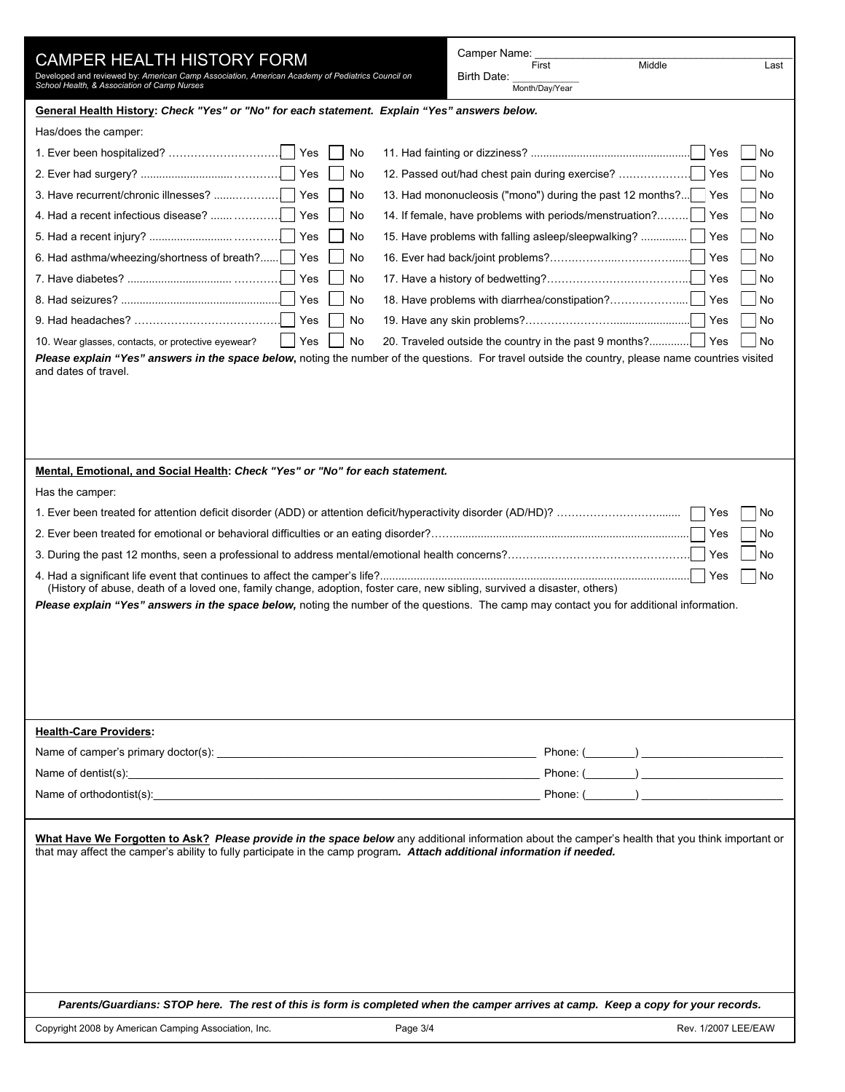CAMPER HEALTH HISTORY FORM Developed and reviewed by: *American Camp Association, American Academy of Pediatrics Council on School Health, & Association of Camp Nurses* 

Camper Name: \_\_\_\_\_\_\_\_\_\_\_\_\_\_\_\_\_\_\_\_\_\_\_\_\_\_\_\_\_\_\_\_\_\_\_\_\_\_\_\_\_\_\_\_\_\_\_\_ First **Middle Contact Middle Last** 

Birth Date: \_\_\_\_\_\_\_\_\_\_\_\_ Month/Day/Year

| General Health History: Check "Yes" or "No" for each statement. Explain "Yes" answers below.                                                                                                                                                                                 |                     |     |  |  |  |
|------------------------------------------------------------------------------------------------------------------------------------------------------------------------------------------------------------------------------------------------------------------------------|---------------------|-----|--|--|--|
| Has/does the camper:                                                                                                                                                                                                                                                         |                     |     |  |  |  |
| Yes<br>No                                                                                                                                                                                                                                                                    | Yes                 | No  |  |  |  |
| 12. Passed out/had chest pain during exercise?<br>Yes<br>No                                                                                                                                                                                                                  | Yes                 | No  |  |  |  |
| 3. Have recurrent/chronic illnesses?<br>13. Had mononucleosis ("mono") during the past 12 months?<br>Yes<br>No                                                                                                                                                               | Yes                 | No  |  |  |  |
| Yes<br>14. If female, have problems with periods/menstruation?<br>No                                                                                                                                                                                                         | Yes                 | No. |  |  |  |
| 15. Have problems with falling asleep/sleepwalking?<br>Yes<br>No                                                                                                                                                                                                             | Yes                 | No  |  |  |  |
| 6. Had asthma/wheezing/shortness of breath?<br>Yes<br>No                                                                                                                                                                                                                     | Yes                 | No  |  |  |  |
| Yes<br>No                                                                                                                                                                                                                                                                    |                     | No  |  |  |  |
| 18. Have problems with diarrhea/constipation?<br>Yes<br>No                                                                                                                                                                                                                   | Yes                 | No  |  |  |  |
| Yes<br>No                                                                                                                                                                                                                                                                    | Yes                 | No  |  |  |  |
| No<br>20. Traveled outside the country in the past 9 months?<br>10. Wear glasses, contacts, or protective eyewear?<br>Yes                                                                                                                                                    | Yes                 | No  |  |  |  |
| and dates of travel.                                                                                                                                                                                                                                                         |                     |     |  |  |  |
| Mental, Emotional, and Social Health: Check "Yes" or "No" for each statement.                                                                                                                                                                                                |                     |     |  |  |  |
| Has the camper:                                                                                                                                                                                                                                                              |                     |     |  |  |  |
|                                                                                                                                                                                                                                                                              | Yes                 | No  |  |  |  |
|                                                                                                                                                                                                                                                                              | Yes                 | No. |  |  |  |
|                                                                                                                                                                                                                                                                              | Yes                 | No  |  |  |  |
| (History of abuse, death of a loved one, family change, adoption, foster care, new sibling, survived a disaster, others)<br>Please explain "Yes" answers in the space below, noting the number of the questions. The camp may contact you for additional information.        | Yes                 | No. |  |  |  |
| <b>Health-Care Providers:</b>                                                                                                                                                                                                                                                |                     |     |  |  |  |
|                                                                                                                                                                                                                                                                              |                     |     |  |  |  |
| Phone: $(\_\_)$<br>Name of dentist(s): example and the set of the set of the set of the set of the set of the set of the set of the set of the set of the set of the set of the set of the set of the set of the set of the set of the set of the                            |                     |     |  |  |  |
| Phone: $($<br>Name of orthodontist(s): example and the set of the set of the set of the set of the set of the set of the set of the set of the set of the set of the set of the set of the set of the set of the set of the set of the set o                                 |                     |     |  |  |  |
| What Have We Forgotten to Ask? Please provide in the space below any additional information about the camper's health that you think important or<br>that may affect the camper's ability to fully participate in the camp program. Attach additional information if needed. |                     |     |  |  |  |
| Parents/Guardians: STOP here. The rest of this is form is completed when the camper arrives at camp. Keep a copy for your records.                                                                                                                                           |                     |     |  |  |  |
| Copyright 2008 by American Camping Association, Inc.<br>Page 3/4                                                                                                                                                                                                             | Rev. 1/2007 LEE/EAW |     |  |  |  |